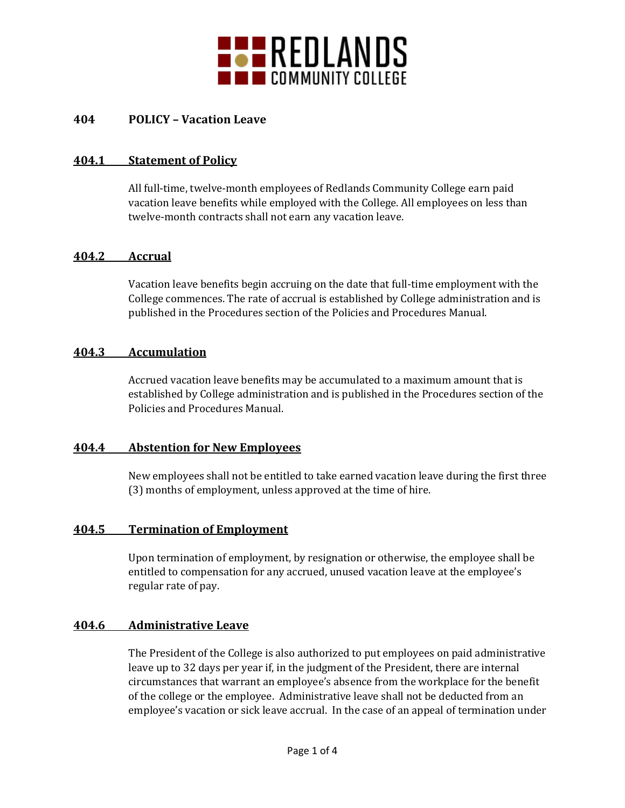

## **404 POLICY – Vacation Leave**

### **404.1 Statement of Policy**

All full-time, twelve-month employees of Redlands Community College earn paid vacation leave benefits while employed with the College. All employees on less than twelve-month contracts shall not earn any vacation leave.

#### **404.2 Accrual**

Vacation leave benefits begin accruing on the date that full-time employment with the College commences. The rate of accrual is established by College administration and is published in the Procedures section of the Policies and Procedures Manual.

#### **404.3 Accumulation**

Accrued vacation leave benefits may be accumulated to a maximum amount that is established by College administration and is published in the Procedures section of the Policies and Procedures Manual.

#### **404.4 Abstention for New Employees**

New employees shall not be entitled to take earned vacation leave during the first three (3) months of employment, unless approved at the time of hire.

## **404.5 Termination of Employment**

Upon termination of employment, by resignation or otherwise, the employee shall be entitled to compensation for any accrued, unused vacation leave at the employee's regular rate of pay.

## **404.6 Administrative Leave**

The President of the College is also authorized to put employees on paid administrative leave up to 32 days per year if, in the judgment of the President, there are internal circumstances that warrant an employee's absence from the workplace for the benefit of the college or the employee. Administrative leave shall not be deducted from an employee's vacation or sick leave accrual. In the case of an appeal of termination under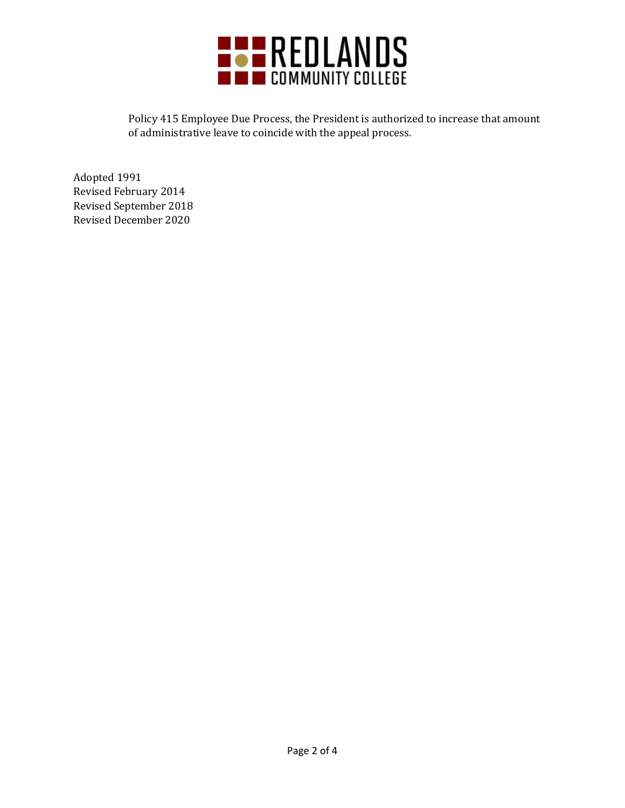

Policy 415 Employee Due Process, the President is authorized to increase that amount of administrative leave to coincide with the appeal process.

Adopted 1991 Revised February 2014 Revised September 2018 Revised December 2020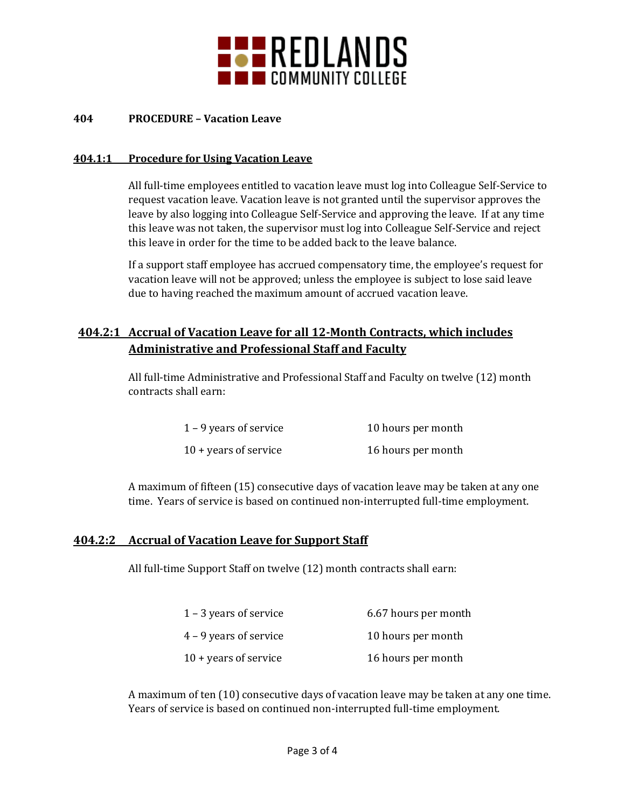

#### **404 PROCEDURE – Vacation Leave**

#### **404.1:1 Procedure for Using Vacation Leave**

All full-time employees entitled to vacation leave must log into Colleague Self-Service to request vacation leave. Vacation leave is not granted until the supervisor approves the leave by also logging into Colleague Self-Service and approving the leave. If at any time this leave was not taken, the supervisor must log into Colleague Self-Service and reject this leave in order for the time to be added back to the leave balance.

If a support staff employee has accrued compensatory time, the employee's request for vacation leave will not be approved; unless the employee is subject to lose said leave due to having reached the maximum amount of accrued vacation leave.

# **404.2:1 Accrual of Vacation Leave for all 12-Month Contracts, which includes Administrative and Professional Staff and Faculty**

All full-time Administrative and Professional Staff and Faculty on twelve (12) month contracts shall earn:

| $1 - 9$ years of service       | 10 hours per month |
|--------------------------------|--------------------|
| $10 + \text{years}$ of service | 16 hours per month |

A maximum of fifteen (15) consecutive days of vacation leave may be taken at any one time. Years of service is based on continued non-interrupted full-time employment.

#### **404.2:2 Accrual of Vacation Leave for Support Staff**

All full-time Support Staff on twelve (12) month contracts shall earn:

| $1 - 3$ years of service       | 6.67 hours per month |
|--------------------------------|----------------------|
| $4 - 9$ years of service       | 10 hours per month   |
| $10 + \text{years}$ of service | 16 hours per month   |

A maximum of ten (10) consecutive days of vacation leave may be taken at any one time. Years of service is based on continued non-interrupted full-time employment.